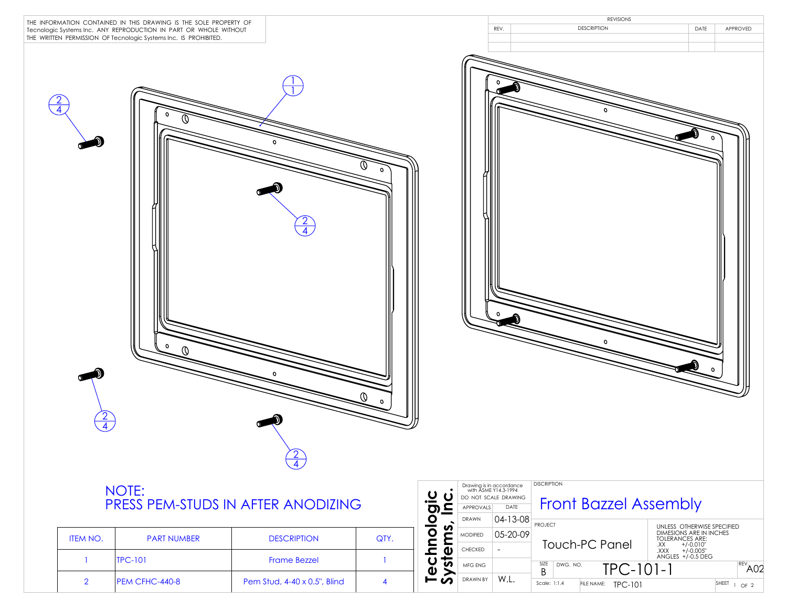